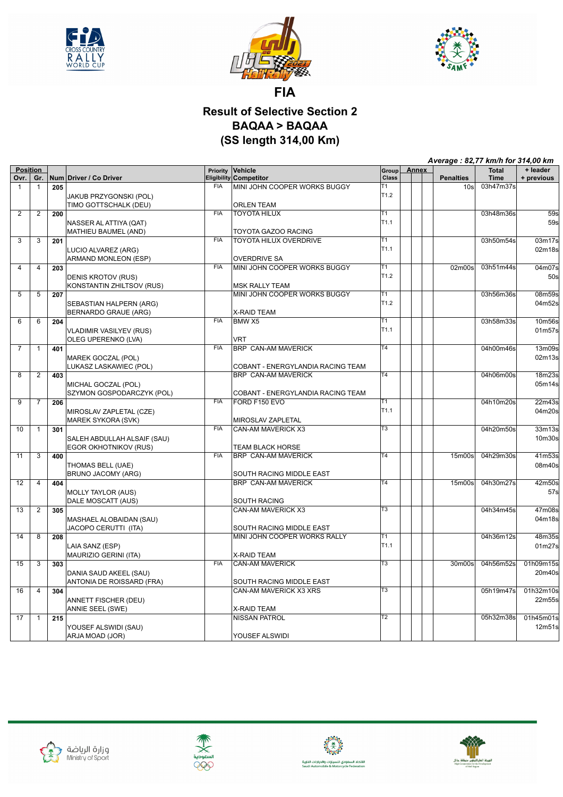





## **Result of Selective Section 2 BAQAA > BAQAA (SS length 314,00 Km)**

|                         |                |     |                             |            |                                   |                        |              |                                 | Average: 82,77 km/h for 314,00 km |                        |  |
|-------------------------|----------------|-----|-----------------------------|------------|-----------------------------------|------------------------|--------------|---------------------------------|-----------------------------------|------------------------|--|
| <b>Position</b><br>Ovr. | Gr.            |     | Num Driver / Co Driver      | Priority   | Vehicle<br>Eligibility Competitor | Group<br>Class         | <b>Annex</b> | <b>Penalties</b>                | <b>Total</b><br><b>Time</b>       | + leader<br>+ previous |  |
| 1                       | $\mathbf{1}$   | 205 |                             | <b>FIA</b> | MINI JOHN COOPER WORKS BUGGY      | T1                     |              | 10s                             | 03h47m37s                         |                        |  |
|                         |                |     | JAKUB PRZYGONSKI (POL)      |            |                                   | T1.2                   |              |                                 |                                   |                        |  |
|                         |                |     | TIMO GOTTSCHALK (DEU)       |            | <b>ORLEN TEAM</b>                 |                        |              |                                 |                                   |                        |  |
| $\overline{2}$          | $\overline{2}$ | 200 |                             | FIA        | <b>TOYOTA HILUX</b>               | Τ1                     |              |                                 | 03h48m36s                         | 59s                    |  |
|                         |                |     | NASSER AL ATTIYA (QAT)      |            |                                   | T1.1                   |              |                                 |                                   | 59s                    |  |
|                         |                |     | MATHIEU BAUMEL (AND)        |            | TOYOTA GAZOO RACING               |                        |              |                                 |                                   |                        |  |
| 3                       | 3              | 201 |                             | <b>FIA</b> | TOYOTA HILUX OVERDRIVE            | T1                     |              |                                 | 03h50m54s                         | 03m17s                 |  |
|                         |                |     | LUCIO ALVAREZ (ARG)         |            |                                   | T1.1                   |              |                                 |                                   | 02m18s                 |  |
|                         |                |     | ARMAND MONLEON (ESP)        |            | <b>OVERDRIVE SA</b>               |                        |              |                                 |                                   |                        |  |
| $\overline{4}$          | 4              | 203 |                             | <b>FIA</b> | MINI JOHN COOPER WORKS BUGGY      | T1                     |              | 02m00s                          | 03h51m44s                         | 04m07s                 |  |
|                         |                |     | <b>DENIS KROTOV (RUS)</b>   |            |                                   | T1.2                   |              |                                 |                                   | 50s                    |  |
|                         |                |     | KONSTANTIN ZHILTSOV (RUS)   |            | <b>MSK RALLY TEAM</b>             |                        |              |                                 |                                   |                        |  |
| 5                       | 5              | 207 |                             |            | MINI JOHN COOPER WORKS BUGGY      | $\overline{11}$        |              |                                 | 03h56m36s                         | 08m59s                 |  |
|                         |                |     | SEBASTIAN HALPERN (ARG)     |            |                                   | T1.2                   |              |                                 |                                   | 04m52s                 |  |
|                         |                |     | BERNARDO GRAUE (ARG)        |            | <b>X-RAID TEAM</b>                |                        |              |                                 |                                   |                        |  |
| 6                       | 6              | 204 |                             | <b>FIA</b> | BMW X5                            | T1                     |              |                                 | 03h58m33s                         | 10m56s                 |  |
|                         |                |     | VLADIMIR VASILYEV (RUS)     |            |                                   | T1.1                   |              |                                 |                                   | 01m57s                 |  |
|                         |                |     | OLEG UPERENKO (LVA)         |            | <b>VRT</b>                        |                        |              |                                 |                                   |                        |  |
| $\overline{7}$          | $\mathbf{1}$   | 401 |                             | <b>FIA</b> | BRP CAN-AM MAVERICK               | $\overline{14}$        |              |                                 | 04h00m46s                         | 13m09s                 |  |
|                         |                |     | MAREK GOCZAL (POL)          |            |                                   |                        |              |                                 |                                   | 02m13s                 |  |
|                         |                |     | LUKASZ LASKAWIEC (POL)      |            | COBANT - ENERGYLANDIA RACING TEAM |                        |              |                                 |                                   |                        |  |
| 8                       | $\overline{c}$ | 403 |                             |            | BRP CAN-AM MAVERICK               | $\overline{T4}$        |              |                                 | 04h06m00s                         | 18m23s                 |  |
|                         |                |     | MICHAL GOCZAL (POL)         |            |                                   |                        |              |                                 |                                   | 05m14s                 |  |
|                         |                |     | SZYMON GOSPODARCZYK (POL)   |            | COBANT - ENERGYLANDIA RACING TEAM |                        |              |                                 |                                   |                        |  |
| $\overline{9}$          | $\overline{7}$ | 206 |                             | <b>FIA</b> | FORD F150 EVO                     | $\overline{11}$        |              |                                 | 04h10m20s                         | 22m43s                 |  |
|                         |                |     | MIROSLAV ZAPLETAL (CZE)     |            |                                   | T1.1                   |              |                                 |                                   | 04m20s                 |  |
|                         |                |     | <b>MAREK SYKORA (SVK)</b>   |            | MIROSLAV ZAPLETAL                 |                        |              |                                 |                                   |                        |  |
| 10                      | 1              | 301 |                             | <b>FIA</b> | <b>CAN-AM MAVERICK X3</b>         | T3                     |              |                                 | 04h20m50s                         | 33m13s                 |  |
|                         |                |     | SALEH ABDULLAH ALSAIF (SAU) |            |                                   |                        |              |                                 |                                   | 10m30s                 |  |
|                         |                |     | EGOR OKHOTNIKOV (RUS)       |            | TEAM BLACK HORSE                  |                        |              |                                 |                                   |                        |  |
| 11                      | 3              | 400 |                             | <b>FIA</b> | BRP CAN-AM MAVERICK               | T <sub>4</sub>         |              | 15m00s                          | 04h29m30s                         | 41m53s                 |  |
|                         |                |     | THOMAS BELL (UAE)           |            |                                   |                        |              |                                 |                                   | 08m40s                 |  |
|                         |                |     | <b>BRUNO JACOMY (ARG)</b>   |            | SOUTH RACING MIDDLE EAST          |                        |              |                                 |                                   |                        |  |
| 12                      | 4              | 404 |                             |            | BRP CAN-AM MAVERICK               | $\overline{14}$        |              | 15m00s                          | 04h30m27s                         | 42m50s                 |  |
|                         |                |     | <b>MOLLY TAYLOR (AUS)</b>   |            |                                   |                        |              |                                 |                                   | 57s                    |  |
|                         |                |     | DALE MOSCATT (AUS)          |            | <b>SOUTH RACING</b>               |                        |              |                                 |                                   |                        |  |
| 13                      | $\overline{2}$ | 305 |                             |            | CAN-AM MAVERICK X3                | $\overline{13}$        |              |                                 | 04h34m45s                         | 47m08s                 |  |
|                         |                |     | MASHAEL ALOBAIDAN (SAU)     |            |                                   |                        |              |                                 |                                   | 04m18s                 |  |
|                         |                |     | JACOPO CERUTTI (ITA)        |            | SOUTH RACING MIDDLE EAST          |                        |              |                                 |                                   |                        |  |
| 14                      | 8              | 208 |                             |            | MINI JOHN COOPER WORKS RALLY      | T1                     |              |                                 | 04h36m12s                         | 48m35s                 |  |
|                         |                |     | LAIA SANZ (ESP)             |            |                                   | T1.1                   |              |                                 |                                   | 01m27s                 |  |
|                         |                |     | MAURIZIO GERINI (ITA)       |            | <b>X-RAID TEAM</b>                |                        |              |                                 |                                   |                        |  |
| 15                      | 3              | 303 |                             | <b>FIA</b> | <b>CAN-AM MAVERICK</b>            | $\overline{T3}$        |              | 30 <sub>m</sub> 00 <sub>s</sub> | 04h56m52s                         | 01h09m15s              |  |
|                         |                |     | DANIA SAUD AKEEL (SAU)      |            |                                   |                        |              |                                 |                                   | 20m40s                 |  |
|                         |                |     | ANTONIA DE ROISSARD (FRA)   |            | SOUTH RACING MIDDLE EAST          |                        |              |                                 |                                   |                        |  |
| 16                      | 4              | 304 |                             |            | CAN-AM MAVERICK X3 XRS            | $\overline{\text{T3}}$ |              |                                 | 05h19m47s                         | 01h32m10s              |  |
|                         |                |     | ANNETT FISCHER (DEU)        |            |                                   |                        |              |                                 |                                   | 22m55s                 |  |
|                         |                |     | <b>ANNIE SEEL (SWE)</b>     |            | <b>X-RAID TEAM</b>                |                        |              |                                 |                                   |                        |  |
| $\overline{17}$         | 1              | 215 |                             |            | <b>NISSAN PATROL</b>              | $\overline{12}$        |              |                                 | 05h32m38s                         | 01h45m01s              |  |
|                         |                |     | YOUSEF ALSWIDI (SAU)        |            |                                   |                        |              |                                 |                                   | 12m51s                 |  |
|                         |                |     | ARJA MOAD (JOR)             |            | YOUSEF ALSWIDI                    |                        |              |                                 |                                   |                        |  |
|                         |                |     |                             |            |                                   |                        |              |                                 |                                   |                        |  |









الاتحاد السعودي للسيارات والدراجات النارية<br>Saudi Automobile & Motorcycle Federation